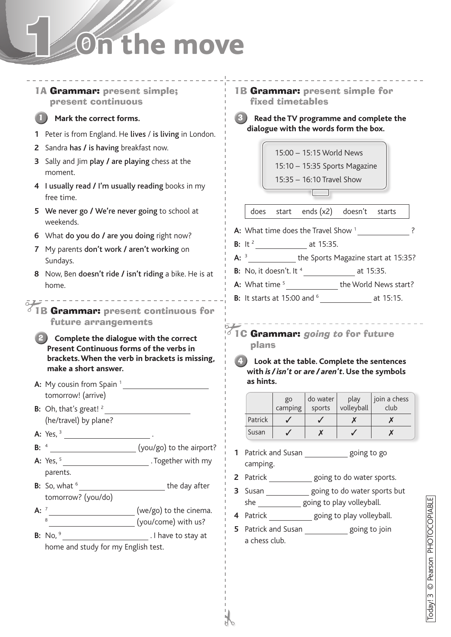## 1 **On the move**

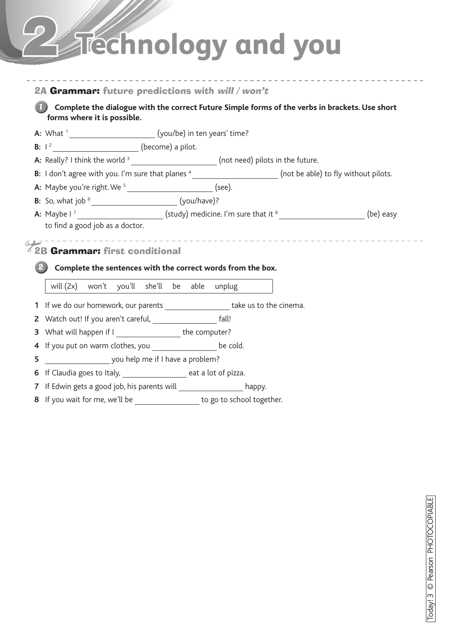# 2 **Technology and you**

| forms where it is possible.                                                                                                                                                                                                         |                                                                                                                 |  |
|-------------------------------------------------------------------------------------------------------------------------------------------------------------------------------------------------------------------------------------|-----------------------------------------------------------------------------------------------------------------|--|
| <b>B:</b> $1^2$ (become) a pilot.                                                                                                                                                                                                   |                                                                                                                 |  |
|                                                                                                                                                                                                                                     | A: Really? I think the world <sup>3</sup> ____________________________(not need) pilots in the future.          |  |
|                                                                                                                                                                                                                                     | B: I don't agree with you. I'm sure that planes 4 ________________________ (not be able) to fly without pilots. |  |
| <b>A:</b> Maybe you're right. We <sup>5</sup> ________________________________ (see).                                                                                                                                               |                                                                                                                 |  |
| <b>B:</b> So, what job $^6$ ________________________________(you/have)?                                                                                                                                                             |                                                                                                                 |  |
|                                                                                                                                                                                                                                     | A: Maybe $1^7$ (study) medicine. I'm sure that it $^8$ _________________________(be) easy                       |  |
|                                                                                                                                                                                                                                     | Complete the sentences with the correct words from the box.                                                     |  |
| will (2x) won't you'll she'll be able unplug                                                                                                                                                                                        |                                                                                                                 |  |
|                                                                                                                                                                                                                                     | 1 If we do our homework, our parents ______________________take us to the cinema.                               |  |
|                                                                                                                                                                                                                                     |                                                                                                                 |  |
|                                                                                                                                                                                                                                     |                                                                                                                 |  |
|                                                                                                                                                                                                                                     |                                                                                                                 |  |
| you help me if I have a problem?                                                                                                                                                                                                    |                                                                                                                 |  |
| تنقيق<br>2B Grammar: first conditional<br>3 What will happen if I ______________________the computer?<br>4 If you put on warm clothes, you ____________________ be cold.<br>5<br>6 If Claudia goes to Italy, and the case of pizza. |                                                                                                                 |  |
|                                                                                                                                                                                                                                     | 7 If Edwin gets a good job, his parents will ____________________ happy.                                        |  |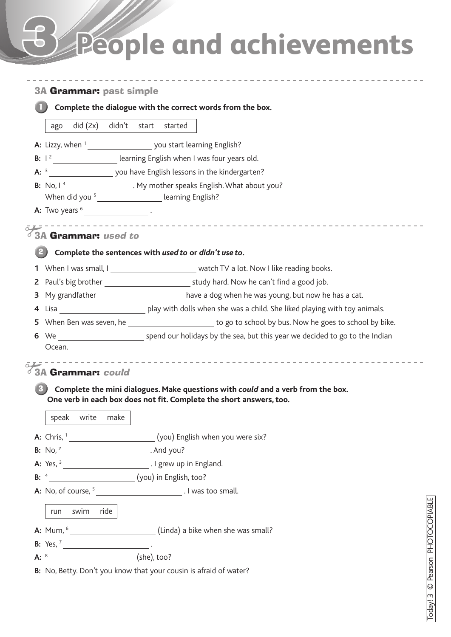## 3 **People and achievements**

|        |                                                            | Complete the dialogue with the correct words from the box.                                                                    |  |
|--------|------------------------------------------------------------|-------------------------------------------------------------------------------------------------------------------------------|--|
|        |                                                            |                                                                                                                               |  |
|        | did (2x) didn't start<br>ago                               | started                                                                                                                       |  |
|        |                                                            |                                                                                                                               |  |
|        |                                                            | B: 1 <sup>2</sup> learning English when I was four years old.                                                                 |  |
|        |                                                            |                                                                                                                               |  |
|        |                                                            | B: No, I <sup>4</sup> ___________________. My mother speaks English. What about you?                                          |  |
|        |                                                            | When did you <sup>5</sup> ______________________ learning English?                                                            |  |
|        | <b>A:</b> Two years $6 \cdot$                              |                                                                                                                               |  |
| تسقيرة | 3A Grammar: used to                                        |                                                                                                                               |  |
|        |                                                            |                                                                                                                               |  |
|        |                                                            | Complete the sentences with used to or didn't use to.                                                                         |  |
|        |                                                            | 1 When I was small, I __________________________ watch TV a lot. Now I like reading books.                                    |  |
|        |                                                            |                                                                                                                               |  |
|        |                                                            | 3 My grandfather ________________________ have a dog when he was young, but now he has a cat.                                 |  |
|        |                                                            |                                                                                                                               |  |
|        |                                                            | 5 When Ben was seven, he <b>Sand Constructed Engineeral Constructs</b> to go to school by bus. Now he goes to school by bike. |  |
|        |                                                            | 6 We spend our holidays by the sea, but this year we decided to go to the Indian                                              |  |
|        | Ocean.                                                     |                                                                                                                               |  |
|        | 3A Grammar: could                                          |                                                                                                                               |  |
|        |                                                            |                                                                                                                               |  |
|        |                                                            | Complete the mini dialogues. Make questions with could and a verb from the box.                                               |  |
|        |                                                            | One verb in each box does not fit. Complete the short answers, too.                                                           |  |
|        | speak write<br>make                                        |                                                                                                                               |  |
|        |                                                            |                                                                                                                               |  |
|        |                                                            |                                                                                                                               |  |
|        |                                                            | A: Chris, <sup>1</sup> __________________________(you) English when you were six?                                             |  |
|        | <b>B:</b> No, $^2$ _____________________________. And you? |                                                                                                                               |  |
|        | B: 4                                                       |                                                                                                                               |  |
|        |                                                            | (you) in English, too?                                                                                                        |  |
|        |                                                            | A: No, of course, <sup>5</sup> _______________________________. I was too small.                                              |  |
|        | swim ride<br>run                                           |                                                                                                                               |  |
|        |                                                            |                                                                                                                               |  |
|        |                                                            |                                                                                                                               |  |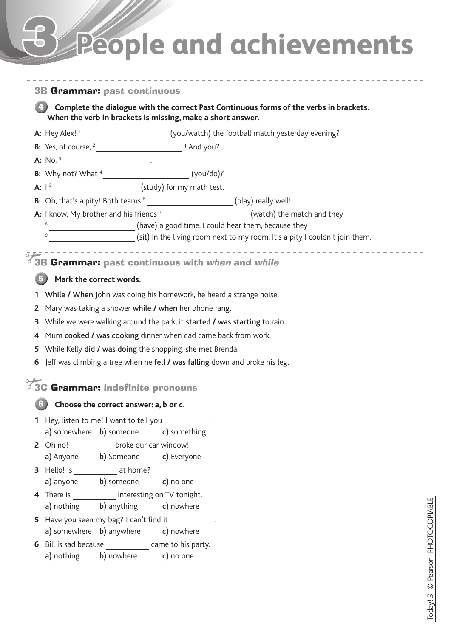## 3 **People and achievements**

#### 3B Grammar: past continuous

**Complete the dialogue with the correct Past Continuous forms of the verbs in brackets. When the verb in brackets is missing, make a short answer.** 4

A: Hey Alex! <sup>1</sup> \_\_\_\_\_\_\_\_\_\_\_\_\_\_\_\_\_\_\_\_\_\_\_\_\_\_(you/watch) the football match yesterday evening?

**B:** Yes, of course, 2 ! And you?

**A:** No, 3 .

**B:** Why not? What <sup>4</sup> (you/do)?

**A:**  $1^5$  (study) for my math test.

**B:** Oh, that's a pity! Both teams  $6$  \_\_\_\_\_\_\_\_\_\_\_\_\_\_\_\_\_\_\_\_\_\_\_\_\_\_\_(play) really well!

**A:** I know. My brother and his friends <sup>7</sup> \_\_\_\_\_\_\_\_\_\_\_\_\_\_\_\_\_\_\_\_\_\_\_(watch) the match and they

**EXECUTE:** (have) a good time. I could hear them, because they

(sit) in the living room next to my room. It's a pity I couldn't join them.

3B Grammar: past continuous with when and while

#### **Mark the correct words.** 5

6

- **1** While **/** When John was doing his homework, he heard a strange noise.
- **2** Mary was taking a shower while **/** when her phone rang.
- **3** While we were walking around the park, it started **/** was starting to rain.
- **4** Mum cooked **/** was cooking dinner when dad came back from work.
- **5** While Kelly did **/** was doing the shopping, she met Brenda.
- **6** Jeff was climbing a tree when he fell **/** was falling down and broke his leg.
- -----------------------------------3C Grammar: indefinite pronouns

#### **Choose the correct answer: a, b or c.**

|             | 1 Hey, listen to me! I want to tell you      |                                      |
|-------------|----------------------------------------------|--------------------------------------|
|             |                                              | a) somewhere b) someone c) something |
|             | 2 Oh no! _____________ broke our car window! |                                      |
| a) Anyone   |                                              | b) Someone c) Everyone               |
| 3 Hello! Is | at home?                                     |                                      |
| a) anyone   | b) someone c) no one                         |                                      |
|             | 4 There is <b>interesting on TV</b> tonight. |                                      |
|             | a) nothing b) anything c) nowhere            |                                      |
|             | 5 Have you seen my bag? I can't find it      |                                      |
|             | a) somewhere b) anywhere c) nowhere          |                                      |
|             | 6 Bill is sad because came to his party.     |                                      |
|             | a) nothing b) nowhere c) no one              |                                      |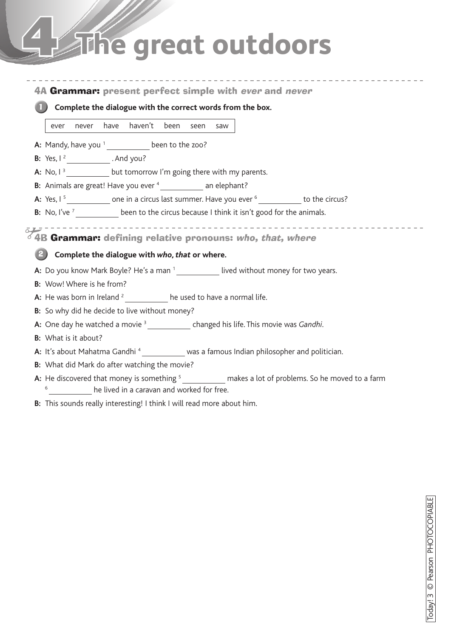## **The great outdoors**

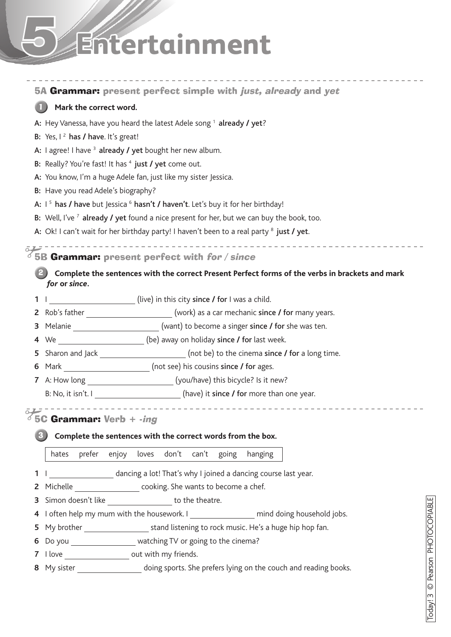# 5 **Entertainment**

|                |                                                                                  | 5A Grammar: present perfect simple with <i>just</i> , already and yet                                       |  |  |  |  |
|----------------|----------------------------------------------------------------------------------|-------------------------------------------------------------------------------------------------------------|--|--|--|--|
|                | Mark the correct word.                                                           |                                                                                                             |  |  |  |  |
|                | A: Hey Vanessa, have you heard the latest Adele song <sup>1</sup> already / yet? |                                                                                                             |  |  |  |  |
|                | B: Yes, $I^2$ has / have. It's great!                                            |                                                                                                             |  |  |  |  |
|                | A: I agree! I have <sup>3</sup> already / yet bought her new album.              |                                                                                                             |  |  |  |  |
|                | B: Really? You're fast! It has <sup>4</sup> just / yet come out.                 |                                                                                                             |  |  |  |  |
|                | A: You know, I'm a huge Adele fan, just like my sister Jessica.                  |                                                                                                             |  |  |  |  |
|                | B: Have you read Adele's biography?                                              |                                                                                                             |  |  |  |  |
|                |                                                                                  | A: $1^5$ has / have but Jessica $^6$ hasn't / haven't. Let's buy it for her birthday!                       |  |  |  |  |
|                |                                                                                  | B: Well, I've <sup>7</sup> already / yet found a nice present for her, but we can buy the book, too.        |  |  |  |  |
|                |                                                                                  | A: Ok! I can't wait for her birthday party! I haven't been to a real party <sup>8</sup> just / yet.         |  |  |  |  |
| $\overline{O}$ |                                                                                  | _______________________________<br>$\sqrt[3]{5}$ B Grammar: present perfect with for / since                |  |  |  |  |
|                |                                                                                  |                                                                                                             |  |  |  |  |
|                | for or since.                                                                    | Complete the sentences with the correct Present Perfect forms of the verbs in brackets and mark             |  |  |  |  |
| 1              |                                                                                  | (live) in this city since / for I was a child.                                                              |  |  |  |  |
|                |                                                                                  | 2 Rob's father __________________________(work) as a car mechanic since / for many years.                   |  |  |  |  |
| 3              |                                                                                  | Melanie ________________________(want) to become a singer since / for she was ten.                          |  |  |  |  |
|                |                                                                                  | 4 We ________________________(be) away on holiday since / for last week.                                    |  |  |  |  |
| 5              |                                                                                  |                                                                                                             |  |  |  |  |
|                |                                                                                  |                                                                                                             |  |  |  |  |
|                |                                                                                  | 7 A: How long ___________________________(you/have) this bicycle? Is it new?                                |  |  |  |  |
|                |                                                                                  | B: No, it isn't. I [10] (have) it since / for more than one year.                                           |  |  |  |  |
|                |                                                                                  |                                                                                                             |  |  |  |  |
|                | $\frac{1}{6}$ 5C Grammar: Verb + -ing                                            |                                                                                                             |  |  |  |  |
|                |                                                                                  | Complete the sentences with the correct words from the box.                                                 |  |  |  |  |
|                | hates                                                                            | prefer enjoy<br>don't can't<br>loves<br>going<br>hanging                                                    |  |  |  |  |
| 1              |                                                                                  | dancing a lot! That's why I joined a dancing course last year.                                              |  |  |  |  |
| $\overline{2}$ |                                                                                  | Michelle ______________________ cooking. She wants to become a chef.                                        |  |  |  |  |
| 3              |                                                                                  | Simon doesn't like _____________________ to the theatre.                                                    |  |  |  |  |
| 4              |                                                                                  | <b>COPIARIF</b><br>I often help my mum with the housework. I ___________________ mind doing household jobs. |  |  |  |  |
| 5              |                                                                                  |                                                                                                             |  |  |  |  |
| 6              |                                                                                  | Do you __________________ watching TV or going to the cinema?                                               |  |  |  |  |
|                |                                                                                  | <b>SICHOLO</b><br>7 I love _____________________ out with my friends.                                       |  |  |  |  |
|                |                                                                                  | 8 My sister <b>8</b> doing sports. She prefers lying on the couch and reading books.                        |  |  |  |  |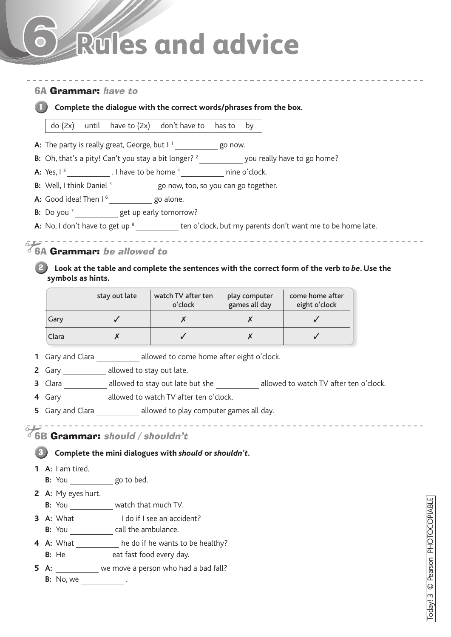## 6 **Rules and advice**

### 6A Grammar: have to **Complete the dialogue with the correct words/phrases from the box.** 1 do (2x) until have to (2x) don't have to has to by **A:** The party is really great, George, but I<sup>1</sup> go now. **B:** Oh, that's a pity! Can't you stay a bit longer? <sup>2</sup> \_\_\_\_\_\_\_\_\_\_\_\_ you really have to go home? **A:** Yes, I 3 . I have to be home 4 nine o'clock. **B:** Well, I think Daniel <sup>5</sup> go now, too, so you can go together. A: Good idea! Then I<sup>6</sup> \_\_\_\_\_\_\_\_\_\_\_go alone. **B:** Do you<sup>7</sup> get up early tomorrow? A: No, I don't have to get up <sup>8</sup> ten o'clock, but my parents don't want me to be home late.  $2 - - -$ 6A Grammar: be allowed to **2** Look at the table and complete the sentences with the correct form of the verb *to be*. Use the **symbols as hints.** stay out late  $\vert$  watch TV after ten play computer come home after eight o'clock o'clock games all day Gary  $\begin{array}{|c|c|c|c|c|}\hline \end{array}$   $\begin{array}{|c|c|c|c|c|}\hline \begin{array}{cccc} \begin{array}{cccc} \mathsf{X} & \mathsf{X} & \mathsf{X} & \mathsf{Y} \end{array} & \begin{array}{cccc} \mathsf{X} & \mathsf{X} & \mathsf{X} & \mathsf{X} \end{array} & \begin{array}{cccc} \mathsf{Y} & \mathsf{X} & \mathsf{X} & \mathsf{X} & \mathsf{X} \end{array} & \begin{array}{cccc} \mathsf{Y} & \mathsf{X} & \mathsf{X} & \mathsf{X} &$ Clara  $\begin{array}{|c|c|c|c|c|}\hline \end{array}$   $\begin{array}{|c|c|c|c|c|}\hline \end{array}$   $\begin{array}{|c|c|c|c|}\hline \end{array}$   $\begin{array}{|c|c|c|c|}\hline \end{array}$   $\begin{array}{|c|c|c|}\hline \end{array}$   $\begin{array}{|c|c|c|}\hline \end{array}$ **1** Gary and Clara **allowed to come home after eight o'clock**. **2** Gary **allowed to stay out late. 3** Clara **allowed to stay out late but she** allowed to watch TV after ten o'clock. **4** Gary \_\_\_\_\_\_\_\_\_ allowed to watch TV after ten o'clock. **5** Gary and Clara **allowed to play computer games all day.** ,...................... \_\_\_\_\_\_\_\_\_\_\_\_\_\_\_\_\_\_\_ **6B Grammar: should / shouldn't. Complete the mini dialogues with** *should* **or** *shouldn't***.** 3 **1 A:** I am tired. **B:** You go to bed. **2 A:** My eyes hurt. **B:** You \_\_\_\_\_\_\_\_\_\_\_\_ watch that much TV. **3 A:** What I do if I see an accident? **B:** You \_\_\_\_\_\_\_\_\_\_\_\_\_ call the ambulance. **4 A:** What **he do if he wants to be healthy? B:** He \_\_\_\_\_\_\_\_\_ eat fast food every day. **5 A:** we move a person who had a bad fall? **B:** No, we .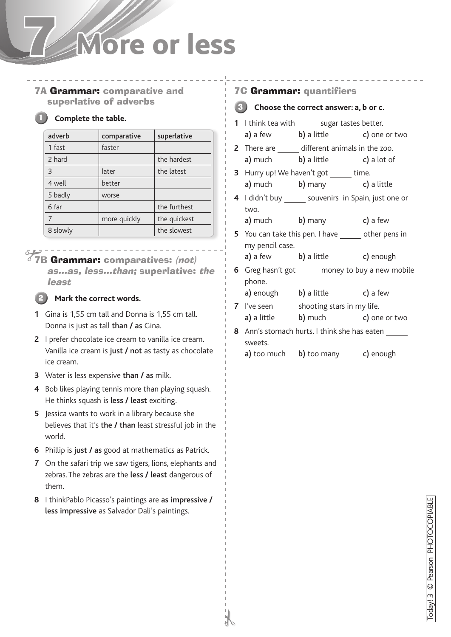## 7 **More or less**

7A Grammar: comparative and superlative of adverbs

#### **Complete the table.**

| adverb   | comparative  | superlative  |
|----------|--------------|--------------|
| 1 fast   | faster       |              |
| 2 hard   |              | the hardest  |
| 3        | later        | the latest   |
| 4 well   | better       |              |
| 5 badly  | worse        |              |
| 6 far    |              | the furthest |
|          | more quickly | the quickest |
| 8 slowly |              | the slowest  |

### 7B Grammar: comparatives: (not)

as…as, less…than; superlative: the least

### 2

#### **Mark the correct words.**

- **1** Gina is 1,55 cm tall and Donna is 1,55 cm tall. Donna is just as tall than **/** as Gina.
- **2** I prefer chocolate ice cream to vanilla ice cream. Vanilla ice cream is just **/** not as tasty as chocolate ice cream.
- **3** Water is less expensive than **/** as milk.
- **4** Bob likes playing tennis more than playing squash. He thinks squash is less **/** least exciting.
- **5** Jessica wants to work in a library because she believes that it's the **/** than least stressful job in the world.
- **6** Phillip is just **/** as good at mathematics as Patrick.
- **7** On the safari trip we saw tigers, lions, elephants and zebras. The zebras are the less **/** least dangerous of them.
- **8** I thinkPablo Picasso's paintings are as impressive **/**  less impressive as Salvador Dali's paintings.

#### 7C Grammar: quantifiers



- **1** I think tea with sugar tastes better. a) a few b) a little c) one or two
- **2** There are different animals in the zoo. a) much b) a little c) a lot of
- **3** Hurry up! We haven't got time. a) much b) many c) a little
- **4** I didn't buy souvenirs in Spain, just one or two.
	- a) much b) many c) a few
- **5** You can take this pen. I have other pens in my pencil case.
	- a) a few b) a little c) enough
- **6** Greg hasn't got money to buy a new mobile phone.
	- a) enough b) a little c) a few
- **7** I've seen shooting stars in my life. a) a little b) much c) one or two
- **8** Ann's stomach hurts. I think she has eaten sweets.
	- a) too much b) too many c) enough